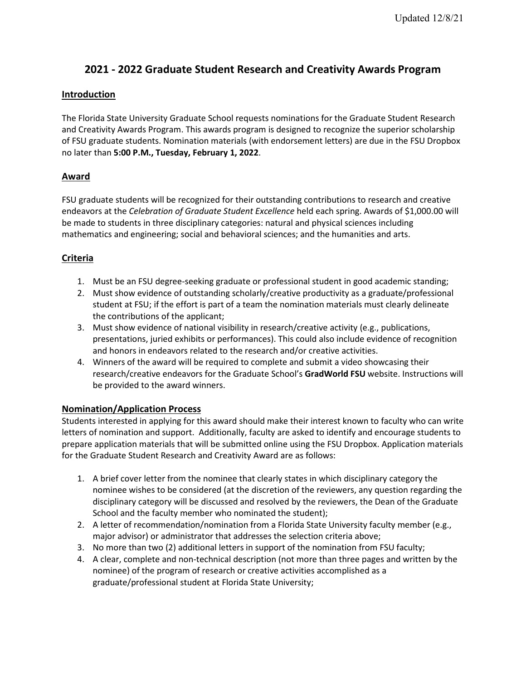# **2021 - 2022 Graduate Student Research and Creativity Awards Program**

## **Introduction**

The Florida State University Graduate School requests nominations for the Graduate Student Research and Creativity Awards Program. This awards program is designed to recognize the superior scholarship of FSU graduate students. Nomination materials (with endorsement letters) are due in the FSU Dropbox no later than **5:00 P.M., Tuesday, February 1, 2022**.

# **Award**

FSU graduate students will be recognized for their outstanding contributions to research and creative endeavors at the *Celebration of Graduate Student Excellence* held each spring. Awards of \$1,000.00 will be made to students in three disciplinary categories: natural and physical sciences including mathematics and engineering; social and behavioral sciences; and the humanities and arts.

# **Criteria**

- 1. Must be an FSU degree-seeking graduate or professional student in good academic standing;
- 2. Must show evidence of outstanding scholarly/creative productivity as a graduate/professional student at FSU; if the effort is part of a team the nomination materials must clearly delineate the contributions of the applicant;
- 3. Must show evidence of national visibility in research/creative activity (e.g., publications, presentations, juried exhibits or performances). This could also include evidence of recognition and honors in endeavors related to the research and/or creative activities.
- 4. Winners of the award will be required to complete and submit a video showcasing their research/creative endeavors for the Graduate School's **GradWorld FSU** website. Instructions will be provided to the award winners.

## **Nomination/Application Process**

Students interested in applying for this award should make their interest known to faculty who can write letters of nomination and support. Additionally, faculty are asked to identify and encourage students to prepare application materials that will be submitted online using the FSU Dropbox. Application materials for the Graduate Student Research and Creativity Award are as follows:

- 1. A brief cover letter from the nominee that clearly states in which disciplinary category the nominee wishes to be considered (at the discretion of the reviewers, any question regarding the disciplinary category will be discussed and resolved by the reviewers, the Dean of the Graduate School and the faculty member who nominated the student);
- 2. A letter of recommendation/nomination from a Florida State University faculty member (e.g., major advisor) or administrator that addresses the selection criteria above;
- 3. No more than two (2) additional letters in support of the nomination from FSU faculty;
- 4. A clear, complete and non-technical description (not more than three pages and written by the nominee) of the program of research or creative activities accomplished as a graduate/professional student at Florida State University;